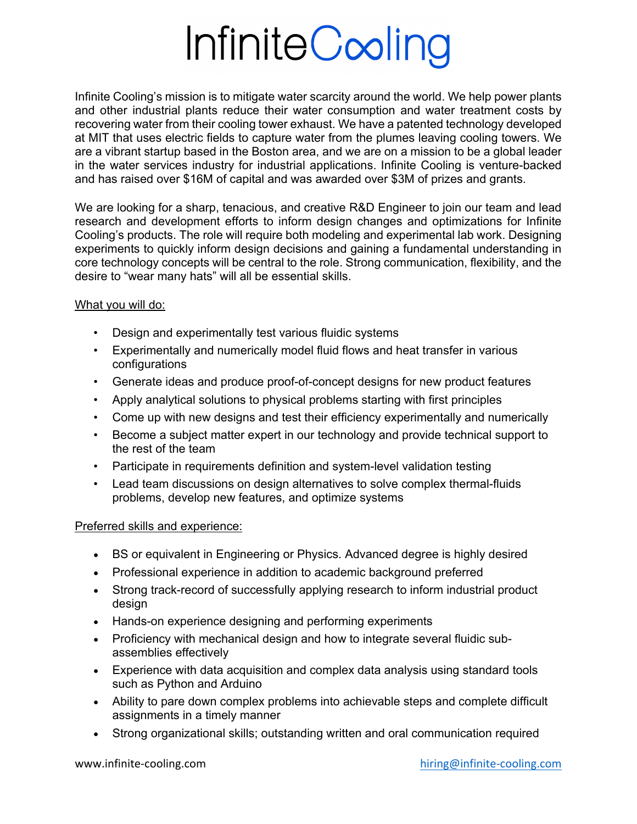## **InfiniteCooling**

Infinite Cooling's mission is to mitigate water scarcity around the world. We help power plants and other industrial plants reduce their water consumption and water treatment costs by recovering water from their cooling tower exhaust. We have a patented technology developed at MIT that uses electric fields to capture water from the plumes leaving cooling towers. We are a vibrant startup based in the Boston area, and we are on a mission to be a global leader in the water services industry for industrial applications. Infinite Cooling is venture-backed and has raised over \$16M of capital and was awarded over \$3M of prizes and grants.

We are looking for a sharp, tenacious, and creative R&D Engineer to join our team and lead research and development efforts to inform design changes and optimizations for Infinite Cooling's products. The role will require both modeling and experimental lab work. Designing experiments to quickly inform design decisions and gaining a fundamental understanding in core technology concepts will be central to the role. Strong communication, flexibility, and the desire to "wear many hats" will all be essential skills.

## What you will do:

- Design and experimentally test various fluidic systems
- Experimentally and numerically model fluid flows and heat transfer in various configurations
- Generate ideas and produce proof-of-concept designs for new product features
- Apply analytical solutions to physical problems starting with first principles
- Come up with new designs and test their efficiency experimentally and numerically
- Become a subject matter expert in our technology and provide technical support to the rest of the team
- Participate in requirements definition and system-level validation testing
- Lead team discussions on design alternatives to solve complex thermal-fluids problems, develop new features, and optimize systems

## Preferred skills and experience:

- BS or equivalent in Engineering or Physics. Advanced degree is highly desired
- Professional experience in addition to academic background preferred
- Strong track-record of successfully applying research to inform industrial product design
- Hands-on experience designing and performing experiments
- Proficiency with mechanical design and how to integrate several fluidic subassemblies effectively
- Experience with data acquisition and complex data analysis using standard tools such as Python and Arduino
- Ability to pare down complex problems into achievable steps and complete difficult assignments in a timely manner
- Strong organizational skills; outstanding written and oral communication required